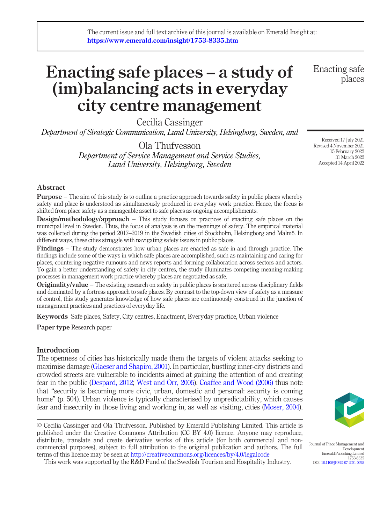# Enacting safe places – a study of (im)balancing acts in everyday city centre management

Cecilia Cassinger

Department of Strategic Communication, Lund University, Helsingborg, Sweden, and

Ola Thufvesson Department of Service Management and Service Studies, Lund University, Helsingborg, Sweden

## Abstract

**Purpose** – The aim of this study is to outline a practice approach towards safety in public places whereby safety and place is understood as simultaneously produced in everyday work practice. Hence, the focus is shifted from place safety as a manageable asset to safe places as ongoing accomplishments.

**Design/methodology/approach** – This study focuses on practices of enacting safe places on the municipal level in Sweden. Thus, the focus of analysis is on the meanings of safety. The empirical material was collected during the period 2017–2019 in the Swedish cities of Stockholm, Helsingborg and Malmö. In different ways, these cities struggle with navigating safety issues in public places.

Findings – The study demonstrates how urban places are enacted as safe in and through practice. The findings include some of the ways in which safe places are accomplished, such as maintaining and caring for places, countering negative rumours and news reports and forming collaboration across sectors and actors. To gain a better understanding of safety in city centres, the study illuminates competing meaning-making processes in management work practice whereby places are negotiated as safe.

Originality/value – The existing research on safety in public places is scattered across disciplinary fields and dominated by a fortress approach to safe places. By contrast to the top-down view of safety as a measure of control, this study generates knowledge of how safe places are continuously construed in the junction of management practices and practices of everyday life.

Keywords Safe places, Safety, City centres, Enactment, Everyday practice, Urban violence

Paper type Research paper

# Introduction

The openness of cities has historically made them the targets of violent attacks seeking to maximise damage ([Glaeser and Shapiro, 2001\)](#page-16-0). In particular, bustling inner-city districts and crowded streets are vulnerable to incidents aimed at gaining the attention of and creating fear in the public ([Despard, 2012;](#page-16-1) [West and Orr, 2005](#page-17-0)). [Coaffee and Wood \(2006\)](#page-15-0) thus note that "security is becoming more civic, urban, domestic and personal: security is coming home" (p. 504). Urban violence is typically characterised by unpredictability, which causes fear and insecurity in those living and working in, as well as visiting, cities ([Moser, 2004\)](#page-16-2).

© Cecilia Cassinger and Ola Thufvesson. Published by Emerald Publishing Limited. This article is published under the Creative Commons Attribution (CC BY 4.0) licence. Anyone may reproduce,



distribute, translate and create derivative works of this article (for both commercial and noncommercial purposes), subject to full attribution to the original publication and authors. The full Journal of Place Management and Development Emerald Publishing Limited 1753-8335 DOI [10.1108/JPMD-07-2021-0075](http://dx.doi.org/10.1108/JPMD-07-2021-0075)

This work was supported by the R&D Fund of the Swedish Tourism and Hospitality Industry.

terms of this licence may be seen at [http://creativecommons.org/licences/by/4.0/legalcode](http://dx.doi.org/10.1108/JPMD-07-2021-0075)

Enacting safe places

Received 17 July 2021 Revised 4 November 2021 15 February 2022 31 March 2022 Accepted 14 April 2022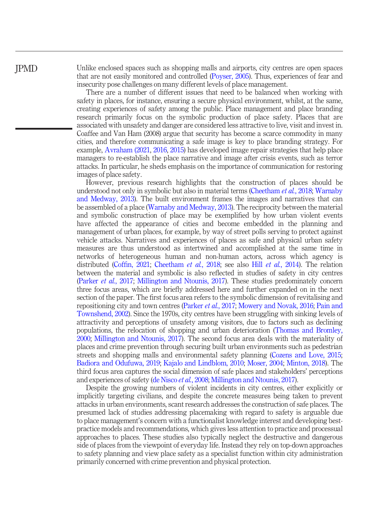JPMD

Unlike enclosed spaces such as shopping malls and airports, city centres are open spaces that are not easily monitored and controlled ([Poyser, 2005](#page-17-1)). Thus, experiences of fear and insecurity pose challenges on many different levels of place management.

There are a number of different issues that need to be balanced when working with safety in places, for instance, ensuring a secure physical environment, whilst, at the same, creating experiences of safety among the public. Place management and place branding research primarily focus on the symbolic production of place safety. Places that are associated with unsafety and danger are considered less attractive to live, visit and invest in. Coaffee and Van Ham (2008) argue that security has become a scarce commodity in many cities, and therefore communicating a safe image is key to place branding strategy. For example, [Avraham \(2021,](#page-15-1) [2016,](#page-15-2) [2015\)](#page-15-3) has developed image repair strategies that help place managers to re-establish the place narrative and image after crisis events, such as terror attacks. In particular, he sheds emphasis on the importance of communication for restoring images of place safety.

However, previous research highlights that the construction of places should be understood not only in symbolic but also in material terms ([Cheetham](#page-15-4) *et al.*, 2018; [Warnaby](#page-17-2) [and Medway, 2013](#page-17-2)). The built environment frames the images and narratives that can be assembled of a place [\(Warnaby and Medway, 2013](#page-17-2)). The reciprocity between the material and symbolic construction of place may be exemplified by how urban violent events have affected the appearance of cities and become embedded in the planning and management of urban places, for example, by way of street polls serving to protect against vehicle attacks. Narratives and experiences of places as safe and physical urban safety measures are thus understood as intertwined and accomplished at the same time in networks of heterogeneous human and non-human actors, across which agency is distributed (Coffi[n, 2021;](#page-15-5) [Cheetham](#page-15-4) et al., 2018; see also Hill et al.[, 2014](#page-16-3)). The relation between the material and symbolic is also reflected in studies of safety in city centres [\(Parker](#page-17-3) et al., 2017; [Millington and Ntounis, 2017](#page-16-4)). These studies predominately concern three focus areas, which are briefly addressed here and further expanded on in the next section of the paper. The first focus area refers to the symbolic dimension of revitalising and repositioning city and town centres [\(Parker](#page-17-3) et al., 2017; [Mowery and Novak, 2016;](#page-16-5) [Pain and](#page-16-6) [Townshend, 2002\)](#page-16-6). Since the 1970s, city centres have been struggling with sinking levels of attractivity and perceptions of unsafety among visitors, due to factors such as declining populations, the relocation of shopping and urban deterioration [\(Thomas and Bromley,](#page-17-4) [2000](#page-17-4); [Millington and Ntounis, 2017\)](#page-16-4). The second focus area deals with the materiality of places and crime prevention through securing built urban environments such as pedestrian streets and shopping malls and environmental safety planning ([Cozens and Love, 2015;](#page-16-7) [Badiora and Odufuwa, 2019;](#page-15-6) [Kajalo and Lindblom, 2010;](#page-16-8) [Moser, 2004;](#page-16-2) [Minton, 2018](#page-16-9)). The third focus area captures the social dimension of safe places and stakeholders' perceptions and experiences of safety [\(de Nisco](#page-16-10) et al., 2008; [Millington and Ntounis, 2017](#page-16-4)).

Despite the growing numbers of violent incidents in city centres, either explicitly or implicitly targeting civilians, and despite the concrete measures being taken to prevent attacks in urban environments, scant research addresses the construction of safe places. The presumed lack of studies addressing placemaking with regard to safety is arguable due to place management's concern with a functionalist knowledge interest and developing bestpractice models and recommendations, which gives less attention to practice and processual approaches to places. These studies also typically neglect the destructive and dangerous side of places from the viewpoint of everyday life. Instead they rely on top-down approaches to safety planning and view place safety as a specialist function within city administration primarily concerned with crime prevention and physical protection.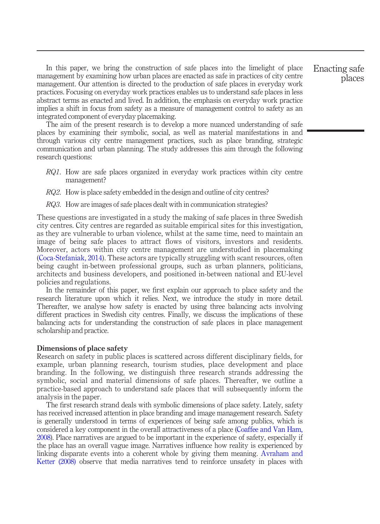In this paper, we bring the construction of safe places into the limelight of place management by examining how urban places are enacted as safe in practices of city centre management. Our attention is directed to the production of safe places in everyday work practices. Focusing on everyday work practices enables us to understand safe places in less abstract terms as enacted and lived. In addition, the emphasis on everyday work practice implies a shift in focus from safety as a measure of management control to safety as an integrated component of everyday placemaking.

The aim of the present research is to develop a more nuanced understanding of safe places by examining their symbolic, social, as well as material manifestations in and through various city centre management practices, such as place branding, strategic communication and urban planning. The study addresses this aim through the following research questions:

- RQ1. How are safe places organized in everyday work practices within city centre management?
- RQ2. How is place safety embedded in the design and outline of city centres?
- RQ3. How are images of safe places dealt with in communication strategies?

These questions are investigated in a study the making of safe places in three Swedish city centres. City centres are regarded as suitable empirical sites for this investigation, as they are vulnerable to urban violence, whilst at the same time, need to maintain an image of being safe places to attract flows of visitors, investors and residents. Moreover, actors within city centre management are understudied in placemaking ([Coca-Stefaniak, 2014\)](#page-15-7). These actors are typically struggling with scant resources, often being caught in-between professional groups, such as urban planners, politicians, architects and business developers, and positioned in-between national and EU-level policies and regulations.

In the remainder of this paper, we first explain our approach to place safety and the research literature upon which it relies. Next, we introduce the study in more detail. Thereafter, we analyse how safety is enacted by using three balancing acts involving different practices in Swedish city centres. Finally, we discuss the implications of these balancing acts for understanding the construction of safe places in place management scholarship and practice.

#### Dimensions of place safety

Research on safety in public places is scattered across different disciplinary fields, for example, urban planning research, tourism studies, place development and place branding. In the following, we distinguish three research strands addressing the symbolic, social and material dimensions of safe places. Thereafter, we outline a practice-based approach to understand safe places that will subsequently inform the analysis in the paper.

The first research strand deals with symbolic dimensions of place safety. Lately, safety has received increased attention in place branding and image management research. Safety is generally understood in terms of experiences of being safe among publics, which is considered a key component in the overall attractiveness of a place ([Coaffee and Van Ham,](#page-15-8) [2008\)](#page-15-8). Place narratives are argued to be important in the experience of safety, especially if the place has an overall vague image. Narratives influence how reality is experienced by linking disparate events into a coherent whole by giving them meaning. [Avraham and](#page-15-9) [Ketter \(2008\)](#page-15-9) observe that media narratives tend to reinforce unsafety in places with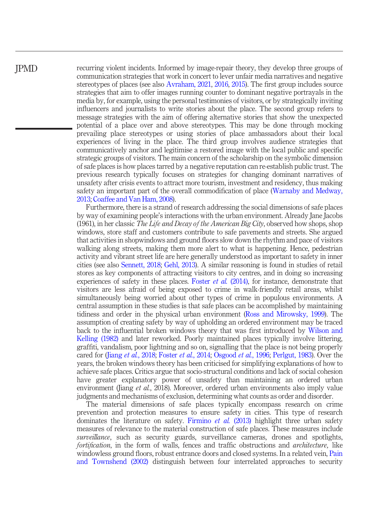JPMD

recurring violent incidents. Informed by image-repair theory, they develop three groups of communication strategies that work in concert to lever unfair media narratives and negative stereotypes of places (see also [Avraham, 2021](#page-15-1), [2016](#page-15-2), [2015\)](#page-15-3). The first group includes source strategies that aim to offer images running counter to dominant negative portrayals in the media by, for example, using the personal testimonies of visitors, or by strategically inviting influencers and journalists to write stories about the place. The second group refers to message strategies with the aim of offering alternative stories that show the unexpected potential of a place over and above stereotypes. This may be done through mocking prevailing place stereotypes or using stories of place ambassadors about their local experiences of living in the place. The third group involves audience strategies that communicatively anchor and legitimise a restored image with the local public and specific strategic groups of visitors. The main concern of the scholarship on the symbolic dimension of safe places is how places tarred by a negative reputation can re-establish public trust. The previous research typically focuses on strategies for changing dominant narratives of unsafety after crisis events to attract more tourism, investment and residency, thus making safety an important part of the overall commodification of place ([Warnaby and Medway,](#page-17-2) [2013](#page-17-2); [Coaffee and Van Ham, 2008](#page-15-8)).

Furthermore, there is a strand of research addressing the social dimensions of safe places by way of examining people's interactions with the urban environment. Already Jane Jacobs (1961), in her classic *The Life and Decay of the American Big City*, observed how shops, shop windows, store staff and customers contribute to safe pavements and streets. She argued that activities in shopwindows and ground floors slow down the rhythm and pace of visitors walking along streets, making them more alert to what is happening. Hence, pedestrian activity and vibrant street life are here generally understood as important to safety in inner cities (see also [Sennett, 2018;](#page-17-5) [Gehl, 2013\)](#page-16-11). A similar reasoning is found in studies of retail stores as key components of attracting visitors to city centres, and in doing so increasing experiences of safety in these places. [Foster](#page-16-12) *et al.* (2014), for instance, demonstrate that visitors are less afraid of being exposed to crime in walk-friendly retail areas, whilst simultaneously being worried about other types of crime in populous environments. A central assumption in these studies is that safe places can be accomplished by maintaining tidiness and order in the physical urban environment ([Ross and Mirowsky, 1999](#page-17-6)). The assumption of creating safety by way of upholding an ordered environment may be traced back to the influential broken windows theory that was first introduced by [Wilson and](#page-17-7) [Kelling \(1982\)](#page-17-7) and later reworked. Poorly maintained places typically involve littering, graffiti, vandalism, poor lightning and so on, signalling that the place is not being properly cared for (Jiang et al.[, 2018;](#page-16-13) [Foster](#page-16-12) et al., 2014; [Osgood](#page-16-14) et al., 1996; [Perlgut, 1983\)](#page-17-8). Over the years, the broken windows theory has been criticised for simplifying explanations of how to achieve safe places. Critics argue that socio-structural conditions and lack of social cohesion have greater explanatory power of unsafety than maintaining an ordered urban environment (Jiang et al., 2018). Moreover, ordered urban environments also imply value judgments and mechanisms of exclusion, determining what counts as order and disorder.

The material dimensions of safe places typically encompass research on crime prevention and protection measures to ensure safety in cities. This type of research dominates the literature on safety. [Firmino](#page-16-15) *et al.* (2013) highlight three urban safety measures of relevance to the material construction of safe places. These measures include surveillance, such as security guards, surveillance cameras, drones and spotlights, fortification, in the form of walls, fences and traffic obstructions and *architecture*, like windowless ground floors, robust entrance doors and closed systems. In a related vein, [Pain](#page-16-6) [and Townshend \(2002\)](#page-16-6) distinguish between four interrelated approaches to security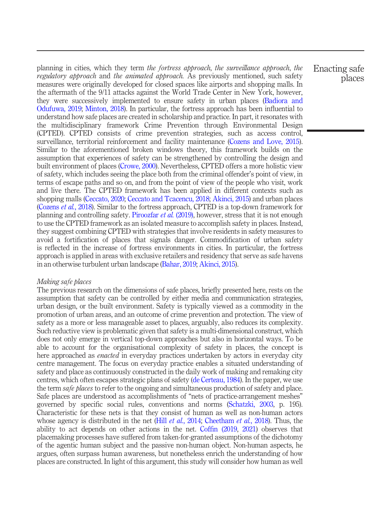planning in cities, which they term the fortress approach, the surveillance approach, the regulatory approach and the animated approach. As previously mentioned, such safety measures were originally developed for closed spaces like airports and shopping malls. In the aftermath of the 9/11 attacks against the World Trade Center in New York, however, they were successively implemented to ensure safety in urban places ([Badiora and](#page-15-6) [Odufuwa, 2019;](#page-15-6) [Minton, 2018](#page-16-9)). In particular, the fortress approach has been influential to understand how safe places are created in scholarship and practice. In part, it resonates with the multidisciplinary framework Crime Prevention through Environmental Design (CPTED). CPTED consists of crime prevention strategies, such as access control, surveillance, territorial reinforcement and facility maintenance [\(Cozens and Love, 2015\)](#page-16-7). Similar to the aforementioned broken windows theory, this framework builds on the assumption that experiences of safety can be strengthened by controlling the design and built environment of places [\(Crowe, 2000\)](#page-16-16). Nevertheless, CPTED offers a more holistic view of safety, which includes seeing the place both from the criminal offender's point of view, in terms of escape paths and so on, and from the point of view of the people who visit, work and live there. The CPTED framework has been applied in different contexts such as shopping malls ([Ceccato, 2020;](#page-15-10) [Ceccato and Tcacencu, 2018;](#page-15-11) [Akinci, 2015](#page-14-0)) and urban places [\(Cozens](#page-16-17) *et al.*, 2018). Similar to the fortress approach, CPTED is a top-down framework for planning and controlling safety. [Piroozfar](#page-17-9) et al. (2019), however, stress that it is not enough to use the CPTED framework as an isolated measure to accomplish safety in places. Instead, they suggest combining CPTED with strategies that involve residents in safety measures to avoid a fortification of places that signals danger. Commodification of urban safety is reflected in the increase of fortress environments in cities. In particular, the fortress approach is applied in areas with exclusive retailers and residency that serve as safe havens in an otherwise turbulent urban landscape [\(Bahar, 2019;](#page-15-12) [Akinci, 2015\)](#page-14-0).

# Making safe places

The previous research on the dimensions of safe places, briefly presented here, rests on the assumption that safety can be controlled by either media and communication strategies, urban design, or the built environment. Safety is typically viewed as a commodity in the promotion of urban areas, and an outcome of crime prevention and protection. The view of safety as a more or less manageable asset to places, arguably, also reduces its complexity. Such reductive view is problematic given that safety is a multi-dimensional construct, which does not only emerge in vertical top-down approaches but also in horizontal ways. To be able to account for the organisational complexity of safety in places, the concept is here approached as *enacted* in everyday practices undertaken by actors in everyday city centre management. The focus on everyday practice enables a situated understanding of safety and place as continuously constructed in the daily work of making and remaking city centres, which often escapes strategic plans of safety [\(de Certeau, 1984\)](#page-16-18). In the paper, we use the term *safe places* to refer to the ongoing and simultaneous production of safety and place. Safe places are understood as accomplishments of "nets of practice-arrangement meshes" governed by specific social rules, conventions and norms [\(Schatzki, 2003,](#page-17-10) p. 195). Characteristic for these nets is that they consist of human as well as non-human actors whose agency is distributed in the net (Hill *et al.*[, 2014](#page-16-3); [Cheetham](#page-15-4) *et al.*, 2018). Thus, the ability to act depends on other actions in the net. Coffi[n \(2019,](#page-15-13) [2021](#page-15-5)) observes that placemaking processes have suffered from taken-for-granted assumptions of the dichotomy of the agentic human subject and the passive non-human object. Non-human aspects, he argues, often surpass human awareness, but nonetheless enrich the understanding of how places are constructed. In light of this argument, this study will consider how human as well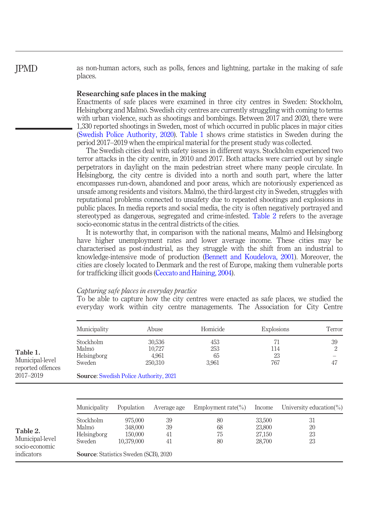as non-human actors, such as polls, fences and lightning, partake in the making of safe places.

## Researching safe places in the making

Enactments of safe places were examined in three city centres in Sweden: Stockholm, Helsingborg and Malmö. Swedish city centres are currently struggling with coming to terms with urban violence, such as shootings and bombings. Between 2017 and 2020, there were 1,330 reported shootings in Sweden, most of which occurred in public places in major cities [\(Swedish Police Authority, 2020\)](#page-17-11). [Table 1](#page-5-0) shows crime statistics in Sweden during the period 2017–2019 when the empirical material for the present study was collected.

The Swedish cities deal with safety issues in different ways. Stockholm experienced two terror attacks in the city centre, in 2010 and 2017. Both attacks were carried out by single perpetrators in daylight on the main pedestrian street where many people circulate. In Helsingborg, the city centre is divided into a north and south part, where the latter encompasses run-down, abandoned and poor areas, which are notoriously experienced as unsafe among residents and visitors. Malmö, the third-largest city in Sweden, struggles with reputational problems connected to unsafety due to repeated shootings and explosions in public places. In media reports and social media, the city is often negatively portrayed and stereotyped as dangerous, segregated and crime-infested. [Table 2](#page-5-1) refers to the average socio-economic status in the central districts of the cities.

It is noteworthy that, in comparison with the national means, Malmö and Helsingborg have higher unemployment rates and lower average income. These cities may be characterised as post-industrial, as they struggle with the shift from an industrial to knowledge-intensive mode of production ([Bennett and Koudelova, 2001](#page-15-14)). Moreover, the cities are closely located to Denmark and the rest of Europe, making them vulnerable ports for trafficking illicit goods [\(Ceccato and Haining, 2004\)](#page-15-15).

## Capturing safe places in everyday practice

To be able to capture how the city centres were enacted as safe places, we studied the everyday work within city centre managements. The Association for City Centre

<span id="page-5-1"></span><span id="page-5-0"></span>

|                                                  | Municipality                                  |            | Abuse                                | Homicide                  | Explosions             | Terror                       |
|--------------------------------------------------|-----------------------------------------------|------------|--------------------------------------|---------------------------|------------------------|------------------------------|
| Table 1.<br>Municipal-level<br>reported offences | Stockholm<br>Malmö<br>Helsingborg<br>Sweden   |            | 30,536<br>10,727<br>4,961<br>250,310 | 453<br>253<br>65<br>3,961 | 71<br>114<br>23<br>767 | 39<br>$\overline{2}$<br>47   |
| 2017-2019                                        | <b>Source: Swedish Police Authority, 2021</b> |            |                                      |                           |                        |                              |
|                                                  |                                               |            |                                      |                           |                        |                              |
|                                                  | Municipality                                  | Population | Average age                          | Employment rate( $\%$ )   | Income                 | University education( $\%$ ) |
|                                                  | Stockholm                                     | 975,000    | 39                                   | 80                        | 33,500                 | 31                           |
| Table 2.                                         | Malmö                                         | 348,000    | 39                                   | 68                        | 23,800                 | 20                           |
|                                                  | Helsingborg                                   | 150,000    | 41                                   | 75                        | 27,150                 | 23                           |
| Municipal-level<br>socio-economic                | Sweden                                        | 10,379,000 | 41                                   | 80                        | 28,700                 | 23                           |
| indicators                                       | <b>Source:</b> Statistics Sweden (SCB), 2020  |            |                                      |                           |                        |                              |

# JPMD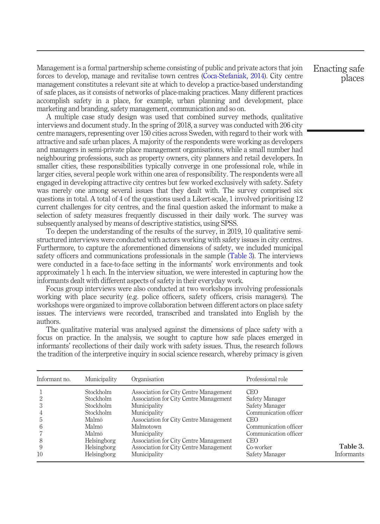Management is a formal partnership scheme consisting of public and private actors that join forces to develop, manage and revitalise town centres ([Coca-Stefaniak, 2014](#page-15-7)). City centre management constitutes a relevant site at which to develop a practice-based understanding of safe places, as it consists of networks of place-making practices. Many different practices accomplish safety in a place, for example, urban planning and development, place marketing and branding, safety management, communication and so on.

A multiple case study design was used that combined survey methods, qualitative interviews and document study. In the spring of 2018, a survey was conducted with 206 city centre managers, representing over 150 cities across Sweden, with regard to their work with attractive and safe urban places. A majority of the respondents were working as developers and managers in semi-private place management organisations, while a small number had neighbouring professions, such as property owners, city planners and retail developers. In smaller cities, these responsibilities typically converge in one professional role, while in larger cities, several people work within one area of responsibility. The respondents were all engaged in developing attractive city centres but few worked exclusively with safety. Safety was merely one among several issues that they dealt with. The survey comprised six questions in total. A total of 4 of the questions used a Likert-scale, 1 involved prioritising 12 current challenges for city centres, and the final question asked the informant to make a selection of safety measures frequently discussed in their daily work. The survey was subsequently analysed by means of descriptive statistics, using SPSS.

To deepen the understanding of the results of the survey, in 2019, 10 qualitative semistructured interviews were conducted with actors working with safety issues in city centres. Furthermore, to capture the aforementioned dimensions of safety, we included municipal safety officers and communications professionals in the sample [\(Table 3\)](#page-6-0). The interviews were conducted in a face-to-face setting in the informants' work environments and took approximately 1 h each. In the interview situation, we were interested in capturing how the informants dealt with different aspects of safety in their everyday work.

Focus group interviews were also conducted at two workshops involving professionals working with place security (e.g. police officers, safety officers, crisis managers). The workshops were organized to improve collaboration between different actors on place safety issues. The interviews were recorded, transcribed and translated into English by the authors.

The qualitative material was analysed against the dimensions of place safety with a focus on practice. In the analysis, we sought to capture how safe places emerged in informants' recollections of their daily work with safety issues. Thus, the research follows the tradition of the interpretive inquiry in social science research, whereby primacy is given

<span id="page-6-0"></span>

| Informant no. | Municipality       | Organisation                           | Professional role     |            |
|---------------|--------------------|----------------------------------------|-----------------------|------------|
|               | Stockholm          | Association for City Centre Management | <b>CEO</b>            |            |
|               | Stockholm          | Association for City Centre Management | Safety Manager        |            |
|               | Stockholm          | Municipality                           | Safety Manager        |            |
|               | Stockholm          | Municipality                           | Communication officer |            |
|               | Malmö              | Association for City Centre Management | <b>CEO</b>            |            |
| h             | Malmö              | Malmotown                              | Communication officer |            |
|               | Malmö              | Municipality                           | Communication officer |            |
| 8             | Helsingborg        | Association for City Centre Management | <b>CEO</b>            |            |
| 9             | Helsingborg        | Association for City Centre Management | Co-worker             | Table 3.   |
| 10            | <b>Helsingborg</b> | Municipality                           | Safety Manager        | Informants |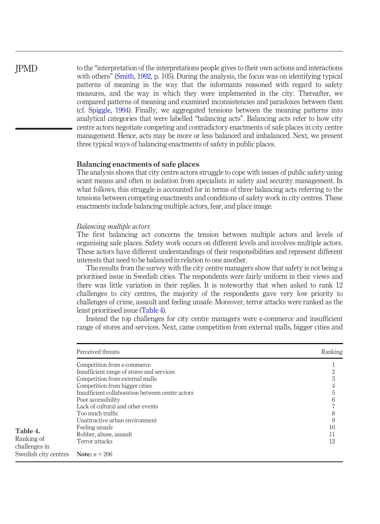# JPMD

to the "interpretation of the interpretations people gives to their own actions and interactions with others" [\(Smith, 1992,](#page-17-13) p. 105). During the analysis, the focus was on identifying typical patterns of meaning in the way that the informants reasoned with regard to safety measures, and the way in which they were implemented in the city. Thereafter, we compared patterns of meaning and examined inconsistencies and paradoxes between them (cf. [Spiggle, 1994](#page-17-14)). Finally, we aggregated tensions between the meaning patterns into analytical categories that were labelled "balancing acts". Balancing acts refer to how city centre actors negotiate competing and contradictory enactments of safe places in city centre management. Hence, acts may be more or less balanced and imbalanced. Next, we present three typical ways of balancing enactments of safety in public places.

# Balancing enactments of safe places

The analysis shows that city centre actors struggle to cope with issues of public safety using scant means and often in isolation from specialists in safety and security management. In what follows, this struggle is accounted for in terms of three balancing acts referring to the tensions between competing enactments and conditions of safety work in city centres. These enactments include balancing multiple actors, fear, and place image.

# Balancing multiple actors

The first balancing act concerns the tension between multiple actors and levels of organising safe places. Safety work occurs on different levels and involves multiple actors. These actors have different understandings of their responsibilities and represent different interests that need to be balanced in relation to one another.

The results from the survey with the city centre managers show that safety is not being a prioritised issue in Swedish cities. The respondents were fairly uniform in their views and there was little variation in their replies. It is noteworthy that when asked to rank 12 challenges to city centres, the majority of the respondents gave very low priority to challenges of crime, assault and feeling unsafe. Moreover, terror attacks were ranked as the least prioritised issue ([Table 4\)](#page-7-0).

Instead the top challenges for city centre managers were e-commerce and insufficient range of stores and services. Next, came competition from external malls, bigger cities and

<span id="page-7-0"></span>

|                             | Perceived threats                                | Ranking |
|-----------------------------|--------------------------------------------------|---------|
|                             | Competition from e-commerce                      |         |
|                             | Insufficient range of stores and services        |         |
|                             | Competition from external malls                  |         |
|                             | Competition from bigger cities                   |         |
|                             | Insufficient collaboration between centre actors |         |
|                             | Poor accessibility                               |         |
|                             | Lack of cultural and other events                |         |
|                             | Too much traffic                                 | 8       |
|                             | Unattractive urban environment                   | 9       |
| Table 4.                    | Feeling unsafe                                   | 10      |
|                             | Robber, abuse, assault                           |         |
| Ranking of<br>challenges in | Terror attacks                                   | 12      |
| Swedish city centres        | <b>Note:</b> $n = 206$                           |         |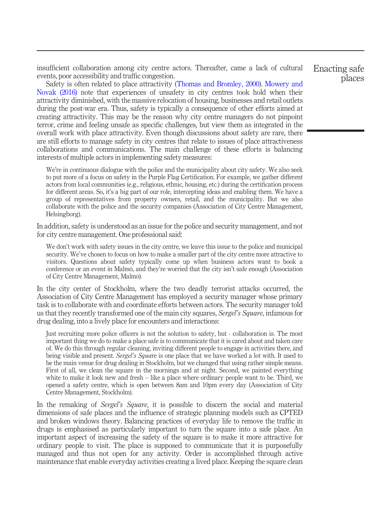insufficient collaboration among city centre actors. Thereafter, came a lack of cultural events, poor accessibility and traffic congestion.

Safety is often related to place attractivity ([Thomas and Bromley, 2000\)](#page-17-4). [Mowery and](#page-16-5) [Novak \(2016\)](#page-16-5) note that experiences of unsafety in city centres took hold when their attractivity diminished, with the massive relocation of housing, businesses and retail outlets during the post-war era. Thus, safety is typically a consequence of other efforts aimed at creating attractivity. This may be the reason why city centre managers do not pinpoint terror, crime and feeling unsafe as specific challenges, but view them as integrated in the overall work with place attractivity. Even though discussions about safety are rare, there are still efforts to manage safety in city centres that relate to issues of place attractiveness collaborations and communications. The main challenge of these efforts is balancing interests of multiple actors in implementing safety measures:

We're in continuous dialogue with the police and the municipality about city safety. We also seek to put more of a focus on safety in the Purple Flag Certification. For example, we gather different actors from local communities (e.g., religious, ethnic, housing, etc.) during the certification process for different areas. So, it's a big part of our role, intercepting ideas and enabling them. We have a group of representatives from property owners, retail, and the municipality. But we also collaborate with the police and the security companies (Association of City Centre Management, Helsingborg).

In addition, safety is understood as an issue for the police and security management, and not for city centre management. One professional said:

We don't work with safety issues in the city centre, we leave this issue to the police and municipal security. We've chosen to focus on how to make a smaller part of the city centre more attractive to visitors. Questions about safety typically come up when business actors want to book a conference or an event in Malmö, and they're worried that the city isn't safe enough (Association of City Centre Management, Malmö).

In the city center of Stockholm, where the two deadly terrorist attacks occurred, the Association of City Centre Management has employed a security manager whose primary task is to collaborate with and coordinate efforts between actors. The security manager told us that they recently transformed one of the main city squares, Sergel's Square, infamous for drug dealing, into a lively place for encounters and interactions:

Just recruiting more police officers is not the solution to safety, but - collaboration is. The most important thing we do to make a place safe is to communicate that it is cared about and taken care of. We do this through regular cleaning, inviting different people to engage in activities there, and being visible and present. *Sergel's Square* is one place that we have worked a lot with. It used to be the main venue for drug dealing in Stockholm, but we changed that using rather simple means. First of all, we clean the square in the mornings and at night. Second, we painted everything white to make it look new and fresh – like a place where ordinary people want to be. Third, we opened a safety centre, which is open between 8am and 10pm every day (Association of City Centre Management, Stockholm).

In the remaking of *Sergel's Square*, it is possible to discern the social and material dimensions of safe places and the influence of strategic planning models such as CPTED and broken windows theory. Balancing practices of everyday life to remove the traffic in drugs is emphasised as particularly important to turn the square into a safe place. An important aspect of increasing the safety of the square is to make it more attractive for ordinary people to visit. The place is supposed to communicate that it is purposefully managed and thus not open for any activity. Order is accomplished through active maintenance that enable everyday activities creating a lived place. Keeping the square clean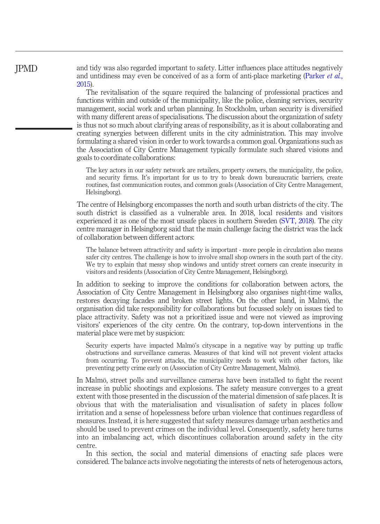and tidy was also regarded important to safety. Litter influences place attitudes negatively and untidiness may even be conceived of as a form of anti-place marketing [\(Parker](#page-17-15) *et al.*, [2015](#page-17-15)).

The revitalisation of the square required the balancing of professional practices and functions within and outside of the municipality, like the police, cleaning services, security management, social work and urban planning. In Stockholm, urban security is diversified with many different areas of specialisations. The discussion about the organization of safety is thus not so much about clarifying areas of responsibility, as it is about collaborating and creating synergies between different units in the city administration. This may involve formulating a shared vision in order to work towards a common goal. Organizations such as the Association of City Centre Management typically formulate such shared visions and goals to coordinate collaborations:

The key actors in our safety network are retailers, property owners, the municipality, the police, and security firms. It's important for us to try to break down bureaucratic barriers, create routines, fast communication routes, and common goals (Association of City Centre Management, Helsingborg).

The centre of Helsingborg encompasses the north and south urban districts of the city. The south district is classified as a vulnerable area. In 2018, local residents and visitors experienced it as one of the most unsafe places in southern Sweden [\(SVT, 2018](#page-18-0)). The city centre manager in Helsingborg said that the main challenge facing the district was the lack of collaboration between different actors:

The balance between attractivity and safety is important - more people in circulation also means safer city centres. The challenge is how to involve small shop owners in the south part of the city. We try to explain that messy shop windows and untidy street corners can create insecurity in visitors and residents (Association of City Centre Management, Helsingborg).

In addition to seeking to improve the conditions for collaboration between actors, the Association of City Centre Management in Helsingborg also organises night-time walks, restores decaying facades and broken street lights. On the other hand, in Malmö, the organisation did take responsibility for collaborations but focussed solely on issues tied to place attractivity. Safety was not a prioritized issue and were not viewed as improving visitors' experiences of the city centre. On the contrary, top-down interventions in the material place were met by suspicion:

Security experts have impacted Malmö's cityscape in a negative way by putting up traffic obstructions and surveillance cameras. Measures of that kind will not prevent violent attacks from occurring. To prevent attacks, the municipality needs to work with other factors, like preventing petty crime early on (Association of City Centre Management, Malmö).

In Malmö, street polls and surveillance cameras have been installed to fight the recent increase in public shootings and explosions. The safety measure converges to a great extent with those presented in the discussion of the material dimension of safe places. It is obvious that with the materialisation and visualisation of safety in places follow irritation and a sense of hopelessness before urban violence that continues regardless of measures. Instead, it is here suggested that safety measures damage urban aesthetics and should be used to prevent crimes on the individual level. Consequently, safety here turns into an imbalancing act, which discontinues collaboration around safety in the city centre.

In this section, the social and material dimensions of enacting safe places were considered. The balance acts involve negotiating the interests of nets of heterogenous actors,

# JPMD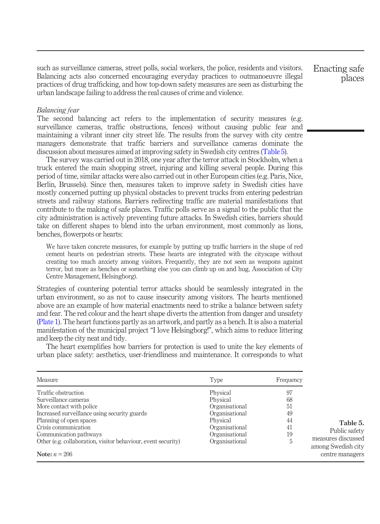such as surveillance cameras, street polls, social workers, the police, residents and visitors. Balancing acts also concerned encouraging everyday practices to outmanoeuvre illegal practices of drug trafficking, and how top-down safety measures are seen as disturbing the urban landscape failing to address the real causes of crime and violence.

Enacting safe places

<span id="page-10-0"></span>Table 5. Public safety measures discussed among Swedish city centre managers

## Balancing fear

The second balancing act refers to the implementation of security measures (e.g. surveillance cameras, traffic obstructions, fences) without causing public fear and maintaining a vibrant inner city street life. The results from the survey with city centre managers demonstrate that traffic barriers and surveillance cameras dominate the discussion about measures aimed at improving safety in Swedish city centres [\(Table 5\)](#page-10-0).

The survey was carried out in 2018, one year after the terror attack in Stockholm, when a truck entered the main shopping street, injuring and killing several people. During this period of time, similar attacks were also carried out in other European cities (e.g. Paris, Nice, Berlin, Brussels). Since then, measures taken to improve safety in Swedish cities have mostly concerned putting up physical obstacles to prevent trucks from entering pedestrian streets and railway stations. Barriers redirecting traffic are material manifestations that contribute to the making of safe places. Traffic polls serve as a signal to the public that the city administration is actively preventing future attacks. In Swedish cities, barriers should take on different shapes to blend into the urban environment, most commonly as lions, benches, flowerpots or hearts:

We have taken concrete measures, for example by putting up traffic barriers in the shape of red cement hearts on pedestrian streets. These hearts are integrated with the cityscape without creating too much anxiety among visitors. Frequently, they are not seen as weapons against terror, but more as benches or something else you can climb up on and hug, Association of City Centre Management, Helsingborg).

Strategies of countering potential terror attacks should be seamlessly integrated in the urban environment, so as not to cause insecurity among visitors. The hearts mentioned above are an example of how material enactments need to strike a balance between safety and fear. The red colour and the heart shape diverts the attention from danger and unsafety [\(Plate 1\)](#page-11-0). The heart functions partly as an artwork, and partly as a bench. It is also a material manifestation of the municipal project "I love Helsingborg!", which aims to reduce littering and keep the city neat and tidy.

The heart exemplifies how barriers for protection is used to unite the key elements of urban place safety: aesthetics, user-friendliness and maintenance. It corresponds to what

| Measure                                                       | Type           | Frequency |
|---------------------------------------------------------------|----------------|-----------|
| Traffic obstruction                                           | Physical       | 97        |
| Surveillance cameras                                          | Physical       | 68        |
| More contact with police                                      | Organisational | 51        |
| Increased surveillance using security guards                  | Organisational | 49        |
| Planning of open spaces                                       | Physical       | 44        |
| Crisis communication                                          | Organisational | 41        |
| Communication pathways                                        | Organisational | 19        |
| Other (e.g. collaboration, visitor behaviour, event security) | Organisational | 5         |
| Note: $n = 206$                                               |                |           |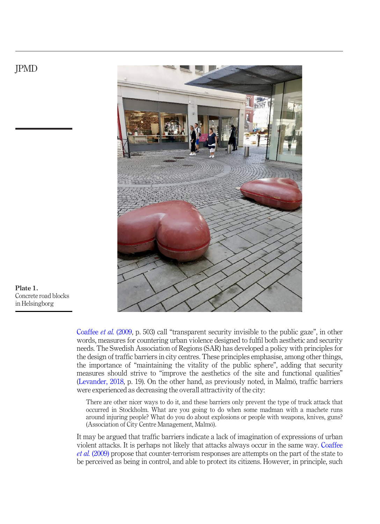



<span id="page-11-0"></span>Plate 1. Concrete road blocks in Helsingborg

> [Coaffee](#page-15-16) et al. (2009, p. 503) call "transparent security invisible to the public gaze", in other words, measures for countering urban violence designed to fulfil both aesthetic and security needs. The Swedish Association of Regions (SAR) has developed a policy with principles for the design of traffic barriers in city centres. These principles emphasise, among other things, the importance of "maintaining the vitality of the public sphere", adding that security measures should strive to "improve the aesthetics of the site and functional qualities" [\(Levander, 2018](#page-16-19), p. 19). On the other hand, as previously noted, in Malmö, traffic barriers were experienced as decreasing the overall attractivity of the city:

There are other nicer ways to do it, and these barriers only prevent the type of truck attack that occurred in Stockholm. What are you going to do when some madman with a machete runs around injuring people? What do you do about explosions or people with weapons, knives, guns? (Association of City Centre Management, Malmö).

It may be argued that traffic barriers indicate a lack of imagination of expressions of urban violent attacks. It is perhaps not likely that attacks always occur in the same way. [Coaffee](#page-15-16) et al. [\(2009\)](#page-15-16) propose that counter-terrorism responses are attempts on the part of the state to be perceived as being in control, and able to protect its citizens. However, in principle, such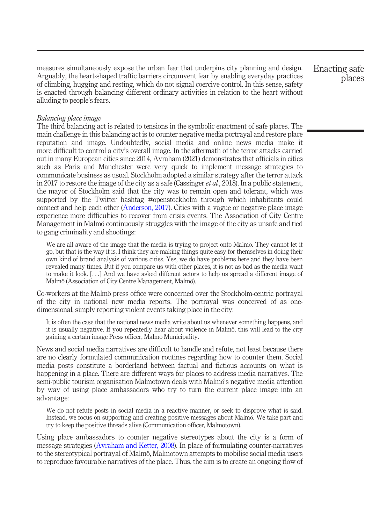measures simultaneously expose the urban fear that underpins city planning and design. Arguably, the heart-shaped traffic barriers circumvent fear by enabling everyday practices of climbing, hugging and resting, which do not signal coercive control. In this sense, safety is enacted through balancing different ordinary activities in relation to the heart without alluding to people's fears.

## Balancing place image

The third balancing act is related to tensions in the symbolic enactment of safe places. The main challenge in this balancing act is to counter negative media portrayal and restore place reputation and image. Undoubtedly, social media and online news media make it more difficult to control a city's overall image. In the aftermath of the terror attacks carried out in many European cities since 2014, Avraham (2021) demonstrates that officials in cities such as Paris and Manchester were very quick to implement message strategies to communicate business as usual. Stockholm adopted a similar strategy after the terror attack in 2017 to restore the image of the city as a safe (Cassinger *et al.*, 2018). In a public statement, the mayor of Stockholm said that the city was to remain open and tolerant, which was supported by the Twitter hashtag #openstockholm through which inhabitants could connect and help each other ([Anderson, 2017](#page-15-17)). Cities with a vague or negative place image experience more difficulties to recover from crisis events. The Association of City Centre Management in Malmö continuously struggles with the image of the city as unsafe and tied to gang criminality and shootings:

We are all aware of the image that the media is trying to project onto Malmö. They cannot let it go, but that is the way it is. I think they are making things quite easy for themselves in doing their own kind of brand analysis of various cities. Yes, we do have problems here and they have been revealed many times. But if you compare us with other places, it is not as bad as the media want to make it look. [...] And we have asked different actors to help us spread a different image of Malmö (Association of City Centre Management, Malmö).

Co-workers at the Malmö press office were concerned over the Stockholm-centric portrayal of the city in national new media reports. The portrayal was conceived of as onedimensional, simply reporting violent events taking place in the city:

It is often the case that the national news media write about us whenever something happens, and it is usually negative. If you repeatedly hear about violence in Malmö, this will lead to the city gaining a certain image Press officer, Malmö Municipality.

News and social media narratives are difficult to handle and refute, not least because there are no clearly formulated communication routines regarding how to counter them. Social media posts constitute a borderland between factual and fictious accounts on what is happening in a place. There are different ways for places to address media narratives. The semi-public tourism organisation Malmotown deals with Malmö's negative media attention by way of using place ambassadors who try to turn the current place image into an advantage:

We do not refute posts in social media in a reactive manner, or seek to disprove what is said. Instead, we focus on supporting and creating positive messages about Malmö. We take part and try to keep the positive threads alive (Communication officer, Malmotown).

Using place ambassadors to counter negative stereotypes about the city is a form of message strategies ([Avraham and Ketter, 2008](#page-15-9)). In place of formulating counter-narratives to the stereotypical portrayal of Malmö, Malmotown attempts to mobilise social media users to reproduce favourable narratives of the place. Thus, the aim is to create an ongoing flow of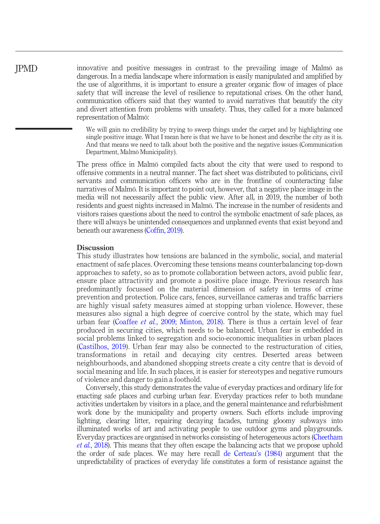innovative and positive messages in contrast to the prevailing image of Malmö as dangerous. In a media landscape where information is easily manipulated and amplified by the use of algorithms, it is important to ensure a greater organic flow of images of place safety that will increase the level of resilience to reputational crises. On the other hand, communication officers said that they wanted to avoid narratives that beautify the city and divert attention from problems with unsafety. Thus, they called for a more balanced representation of Malmö:

> We will gain no credibility by trying to sweep things under the carpet and by highlighting one single positive image. What I mean here is that we have to be honest and describe the city as it is. And that means we need to talk about both the positive and the negative issues (Communication Department, Malmö Municipality).

The press office in Malmö compiled facts about the city that were used to respond to offensive comments in a neutral manner. The fact sheet was distributed to politicians, civil servants and communication officers who are in the frontline of counteracting false narratives of Malmö. It is important to point out, however, that a negative place image in the media will not necessarily affect the public view. After all, in 2019, the number of both residents and guest nights increased in Malmö. The increase in the number of residents and visitors raises questions about the need to control the symbolic enactment of safe places, as there will always be unintended consequences and unplanned events that exist beyond and beneath our awareness (Coffi[n, 2019\)](#page-15-13).

#### **Discussion**

JPMD

This study illustrates how tensions are balanced in the symbolic, social, and material enactment of safe places. Overcoming these tensions means counterbalancing top-down approaches to safety, so as to promote collaboration between actors, avoid public fear, ensure place attractivity and promote a positive place image. Previous research has predominantly focussed on the material dimension of safety in terms of crime prevention and protection. Police cars, fences, surveillance cameras and traffic barriers are highly visual safety measures aimed at stopping urban violence. However, these measures also signal a high degree of coercive control by the state, which may fuel urban fear [\(Coaffee](#page-15-16) et al., 2009; [Minton, 2018](#page-16-9)). There is thus a certain level of fear produced in securing cities, which needs to be balanced. Urban fear is embedded in social problems linked to segregation and socio-economic inequalities in urban places [\(Castilhos, 2019\)](#page-15-18). Urban fear may also be connected to the restructuration of cities, transformations in retail and decaying city centres. Deserted areas between neighbourhoods, and abandoned shopping streets create a city centre that is devoid of social meaning and life. In such places, it is easier for stereotypes and negative rumours of violence and danger to gain a foothold.

Conversely, this study demonstrates the value of everyday practices and ordinary life for enacting safe places and curbing urban fear. Everyday practices refer to both mundane activities undertaken by visitors in a place, and the general maintenance and refurbishment work done by the municipality and property owners. Such efforts include improving lighting, clearing litter, repairing decaying facades, turning gloomy subways into illuminated works of art and activating people to use outdoor gyms and playgrounds. Everyday practices are organised in networks consisting of heterogeneous actors [\(Cheetham](#page-15-4) et al.[, 2018](#page-15-4)). This means that they often escape the balancing acts that we propose uphold the order of safe places. We may here recall [de Certeau](#page-16-18)'s (1984) argument that the unpredictability of practices of everyday life constitutes a form of resistance against the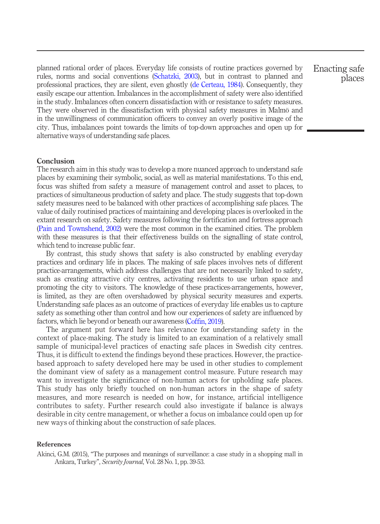planned rational order of places. Everyday life consists of routine practices governed by rules, norms and social conventions [\(Schatzki, 2003\)](#page-17-10), but in contrast to planned and professional practices, they are silent, even ghostly ([de Certeau, 1984\)](#page-16-18). Consequently, they easily escape our attention. Imbalances in the accomplishment of safety were also identified in the study. Imbalances often concern dissatisfaction with or resistance to safety measures. They were observed in the dissatisfaction with physical safety measures in Malmö and in the unwillingness of communication officers to convey an overly positive image of the city. Thus, imbalances point towards the limits of top-down approaches and open up for alternative ways of understanding safe places.

# Conclusion

The research aim in this study was to develop a more nuanced approach to understand safe places by examining their symbolic, social, as well as material manifestations. To this end, focus was shifted from safety a measure of management control and asset to places, to practices of simultaneous production of safety and place. The study suggests that top-down safety measures need to be balanced with other practices of accomplishing safe places. The value of daily routinised practices of maintaining and developing places is overlooked in the extant research on safety. Safety measures following the fortification and fortress approach [\(Pain and Townshend, 2002](#page-16-6)) were the most common in the examined cities. The problem with these measures is that their effectiveness builds on the signalling of state control, which tend to increase public fear.

By contrast, this study shows that safety is also constructed by enabling everyday practices and ordinary life in places. The making of safe places involves nets of different practice-arrangements, which address challenges that are not necessarily linked to safety, such as creating attractive city centres, activating residents to use urban space and promoting the city to visitors. The knowledge of these practices-arrangements, however, is limited, as they are often overshadowed by physical security measures and experts. Understanding safe places as an outcome of practices of everyday life enables us to capture safety as something other than control and how our experiences of safety are influenced by factors, which lie beyond or beneath our awareness (Coffi[n, 2019\)](#page-15-13).

The argument put forward here has relevance for understanding safety in the context of place-making. The study is limited to an examination of a relatively small sample of municipal-level practices of enacting safe places in Swedish city centres. Thus, it is difficult to extend the findings beyond these practices. However, the practicebased approach to safety developed here may be used in other studies to complement the dominant view of safety as a management control measure. Future research may want to investigate the significance of non-human actors for upholding safe places. This study has only briefly touched on non-human actors in the shape of safety measures, and more research is needed on how, for instance, artificial intelligence contributes to safety. Further research could also investigate if balance is always desirable in city centre management, or whether a focus on imbalance could open up for new ways of thinking about the construction of safe places.

# References

<span id="page-14-0"></span>Akinci, G.M. (2015), "The purposes and meanings of surveillance: a case study in a shopping mall in Ankara, Turkey", Security Journal, Vol. 28 No. 1, pp. 39-53.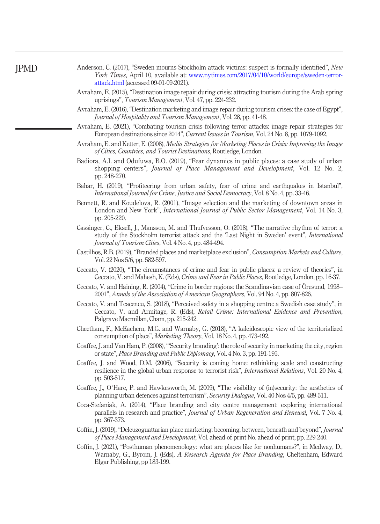<span id="page-15-17"></span>Anderson, C. (2017), "Sweden mourns Stockholm attack victims: suspect is formally identified", New York Times, April 10, available at: [www.nytimes.com/2017/04/10/world/europe/sweden-terror](https://www.nytimes.com/2017/04/10/world/europe/sweden-terror-attack.html)[attack.html](https://www.nytimes.com/2017/04/10/world/europe/sweden-terror-attack.html) (accessed 09-01-09-2021).

- <span id="page-15-3"></span>Avraham, E. (2015), "Destination image repair during crisis: attracting tourism during the Arab spring uprisings", Tourism Management, Vol. 47, pp. 224-232.
- <span id="page-15-2"></span>Avraham, E. (2016), "Destination marketing and image repair during tourism crises: the case of Egypt", Journal of Hospitality and Tourism Management, Vol. 28, pp. 41-48.
- <span id="page-15-1"></span>Avraham, E. (2021), "Combating tourism crisis following terror attacks: image repair strategies for European destinations since 2014", Current Issues in Tourism, Vol. 24 No. 8, pp. 1079-1092.
- <span id="page-15-9"></span>Avraham, E. and Ketter, E. (2008), Media Strategies for Marketing Places in Crisis: Improving the Image of Cities, Countries, and Tourist Destinations, Routledge, London.
- <span id="page-15-6"></span>Badiora, A.I. and Odufuwa, B.O. (2019), "Fear dynamics in public places: a case study of urban shopping centers", Journal of Place Management and Development, Vol. 12 No. 2, pp. 248-270.
- <span id="page-15-12"></span>Bahar, H. (2019), "Profiteering from urban safety, fear of crime and earthquakes in Istanbul", International Journal for Crime, Justice and Social Democracy, Vol. 8 No. 4, pp. 33-46.
- <span id="page-15-14"></span>Bennett, R. and Koudelova, R. (2001), "Image selection and the marketing of downtown areas in London and New York", *International Journal of Public Sector Management*, Vol. 14 No. 3, pp. 205-220.
- Cassinger, C., Eksell, J., Mansson, M. and Thufvesson, O. (2018), "The narrative rhythm of terror: a study of the Stockholm terrorist attack and the 'Last Night in Sweden' event", International Journal of Tourism Cities, Vol. 4 No. 4, pp. 484-494.
- <span id="page-15-18"></span>Castilhos, R.B. (2019), "Branded places and marketplace exclusion", Consumption Markets and Culture, Vol. 22 Nos 5/6, pp. 582-597.
- <span id="page-15-10"></span>Ceccato, V. (2020), "The circumstances of crime and fear in public places: a review of theories", in Ceccato, V. and Mahesh, K. (Eds), Crime and Fear in Public Places, Routledge, London, pp. 16-37.
- <span id="page-15-15"></span>Ceccato, V. and Haining, R. (2004), "Crime in border regions: the Scandinavian case of Öresund, 1998– 2001", Annals of the Association of American Geographers, Vol. 94 No. 4, pp. 807-826.
- <span id="page-15-11"></span>Ceccato, V. and Tcacencu, S. (2018), "Perceived safety in a shopping centre: a Swedish case study", in Ceccato, V. and Armitage, R. (Eds), Retail Crime: International Evidence and Prevention, Palgrave Macmillan, Cham, pp. 215-242.
- <span id="page-15-4"></span>Cheetham, F., McEachern, M.G. and Warnaby, G. (2018), "A kaleidoscopic view of the territorialized consumption of place", Marketing Theory, Vol. 18 No. 4, pp. 473-492.
- <span id="page-15-8"></span>Coaffee, J. and Van Ham, P. (2008),"'Security branding': the role of security in marketing the city, region or state", Place Branding and Public Diplomacy, Vol. 4 No. 3, pp. 191-195.
- <span id="page-15-0"></span>Coaffee, J. and Wood, D.M. (2006), "Security is coming home: rethinking scale and constructing resilience in the global urban response to terrorist risk", International Relations, Vol. 20 No. 4, pp. 503-517.
- <span id="page-15-16"></span>Coaffee, J., O'Hare, P. and Hawkesworth, M. (2009), "The visibility of (in)security: the aesthetics of planning urban defences against terrorism", Security Dialogue, Vol. 40 Nos 4/5, pp. 489-511.
- <span id="page-15-7"></span>Coca-Stefaniak, A. (2014), "Place branding and city centre management: exploring international parallels in research and practice", Journal of Urban Regeneration and Renewal, Vol. 7 No. 4, pp. 367-373.
- <span id="page-15-13"></span>Coffin, J. (2019), "Deleuzoguattarian place marketing: becoming, between, beneath and beyond", Journal of Place Management and Development, Vol. ahead-of-print No. ahead-of-print, pp. 229-240.
- <span id="page-15-5"></span>Coffin, J. (2021), "Posthuman phenomenology: what are places like for nonhumans?", in Medway, D., Warnaby, G., Byrom, J. (Eds), A Research Agenda for Place Branding, Cheltenham, Edward Elgar Publishing, pp 183-199.

JPMD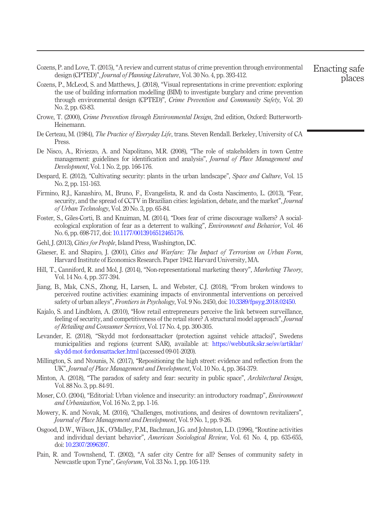<span id="page-16-7"></span>Cozens, P. and Love, T. (2015), "A review and current status of crime prevention through environmental design (CPTED)", Journal of Planning Literature, Vol. 30 No. 4, pp. 393-412.

- <span id="page-16-17"></span>Cozens, P., McLeod, S. and Matthews, J. (2018), "Visual representations in crime prevention: exploring the use of building information modelling (BIM) to investigate burglary and crime prevention through environmental design (CPTED)", Crime Prevention and Community Safety, Vol. 20 No. 2, pp. 63-83.
- <span id="page-16-16"></span>Crowe, T. (2000), Crime Prevention through Environmental Design, 2nd edition, Oxford: Butterworth-Heinemann.
- <span id="page-16-18"></span>De Certeau, M. (1984), *The Practice of Everyday Life*, trans. Steven Rendall. Berkeley, University of CA Press.
- <span id="page-16-10"></span>De Nisco, A., Riviezzo, A. and Napolitano, M.R. (2008), "The role of stakeholders in town Centre management: guidelines for identification and analysis", *Journal of Place Management and* Development, Vol. 1 No. 2, pp. 166-176.
- <span id="page-16-1"></span>Despard, E. (2012), "Cultivating security: plants in the urban landscape", *Space and Culture*, Vol. 15 No. 2, pp. 151-163.
- <span id="page-16-15"></span>Firmino, R.J., Kanashiro, M., Bruno, F., Evangelista, R. and da Costa Nascimento, L. (2013), "Fear, security, and the spread of CCTV in Brazilian cities: legislation, debate, and the market", *Journal* of Urban Technology, Vol. 20 No. 3, pp. 65-84.
- <span id="page-16-12"></span>Foster, S., Giles-Corti, B. and Knuiman, M. (2014), "Does fear of crime discourage walkers? A socialecological exploration of fear as a deterrent to walking", *Environment and Behavior*, Vol. 46 No. 6, pp. 698-717, doi: [10.1177/0013916512465176](http://dx.doi.org/10.1177/0013916512465176).
- <span id="page-16-11"></span>Gehl, J. (2013), Cities for People, Island Press, Washington, DC.
- <span id="page-16-0"></span>Glaeser, E. and Shapiro, J. (2001), Cities and Warfare: The Impact of Terrorism on Urban Form, Harvard Institute of Economics Research. Paper 1942. Harvard University, MA.
- <span id="page-16-3"></span>Hill, T., Canniford, R. and Mol, J. (2014), "Non-representational marketing theory", Marketing Theory, Vol. 14 No. 4, pp. 377-394.
- <span id="page-16-13"></span>Jiang, B., Mak, C.N.S., Zhong, H., Larsen, L. and Webster, C.J. (2018), "From broken windows to perceived routine activities: examining impacts of environmental interventions on perceived safety of urban alleys", Frontiers in Psychology, Vol. 9 No. 2450, doi: [10.3389/fpsyg.2018.02450.](http://dx.doi.org/10.3389/fpsyg.2018.02450)
- <span id="page-16-8"></span>Kajalo, S. and Lindblom, A. (2010), "How retail entrepreneurs perceive the link between surveillance, feeling of security, and competitiveness of the retail store? A structural model approach", Journal of Retailing and Consumer Services, Vol. 17 No. 4, pp. 300-305.
- <span id="page-16-19"></span>Levander, E. (2018), "Skydd mot fordonsattacker (protection against vehicle attacks)", Swedens municipalities and regions (current SAR), available at: [https://webbutik.skr.se/sv/artiklar/](https://webbutik.skr.se/sv/artiklar/skydd-mot-fordonsattacker.html) [skydd-mot-fordonsattacker.html](https://webbutik.skr.se/sv/artiklar/skydd-mot-fordonsattacker.html) (accessed 09-01-2020).
- <span id="page-16-4"></span>Millington, S. and Ntounis, N. (2017), "Repositioning the high street: evidence and reflection from the UK", Journal of Place Management and Development, Vol. 10 No. 4, pp. 364-379.
- <span id="page-16-9"></span>Minton, A. (2018), "The paradox of safety and fear: security in public space", *Architectural Design*, Vol. 88 No. 3, pp. 84-91.
- <span id="page-16-2"></span>Moser, C.O. (2004), "Editorial: Urban violence and insecurity: an introductory roadmap", *Environment* and Urbanization, Vol. 16 No. 2, pp. 1-16.
- <span id="page-16-5"></span>Mowery, K. and Novak, M. (2016), "Challenges, motivations, and desires of downtown revitalizers", Journal of Place Management and Development, Vol. 9 No. 1, pp. 9-26.
- <span id="page-16-14"></span>Osgood, D.W., Wilson, J.K., O'Malley, P.M., Bachman, J.G. and Johnston, L.D. (1996), "Routine activities and individual deviant behavior", American Sociological Review, Vol. 61 No. 4, pp. 635-655, doi: [10.2307/2096397](http://dx.doi.org/10.2307/2096397).
- <span id="page-16-6"></span>Pain, R. and Townshend, T. (2002), "A safer city Centre for all? Senses of community safety in Newcastle upon Tyne", Geoforum, Vol. 33 No. 1, pp. 105-119.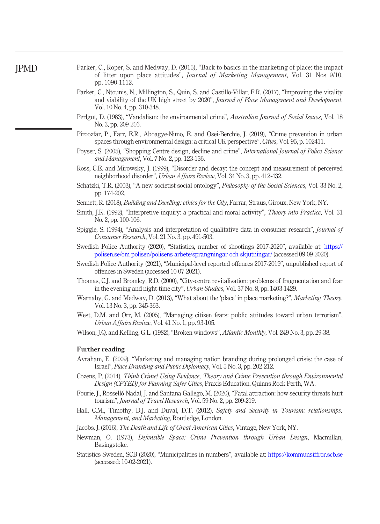- <span id="page-17-15"></span>Parker, C., Roper, S. and Medway, D. (2015), "Back to basics in the marketing of place: the impact of litter upon place attitudes", *Journal of Marketing Management*, Vol. 31 Nos 9/10, pp. 1090-1112.
- <span id="page-17-3"></span>Parker, C., Ntounis, N., Millington, S., Quin, S. and Castillo-Villar, F.R. (2017), "Improving the vitality and viability of the UK high street by 2020", Journal of Place Management and Development, Vol. 10 No. 4, pp. 310-348.
- <span id="page-17-8"></span>Perlgut, D. (1983), "Vandalism: the environmental crime", Australian Journal of Social Issues, Vol. 18 No. 3, pp. 209-216.
- <span id="page-17-9"></span>Piroozfar, P., Farr, E.R., Aboagye-Nimo, E. and Osei-Berchie, J. (2019), "Crime prevention in urban spaces through environmental design: a critical UK perspective", Cities, Vol. 95, p. 102411.
- <span id="page-17-1"></span>Poyser, S. (2005), "Shopping Centre design, decline and crime", *International Journal of Police Science* and Management, Vol. 7 No. 2, pp. 123-136.
- <span id="page-17-6"></span>Ross, C.E. and Mirowsky, J. (1999), "Disorder and decay: the concept and measurement of perceived neighborhood disorder", Urban Affairs Review, Vol. 34 No. 3, pp. 412-432.
- <span id="page-17-10"></span>Schatzki, T.R. (2003), "A new societist social ontology", Philosophy of the Social Sciences, Vol. 33 No. 2, pp. 174-202.
- <span id="page-17-5"></span>Sennett, R. (2018), *Building and Dwelling: ethics for the City*, Farrar, Straus, Giroux, New York, NY.
- <span id="page-17-13"></span>Smith, J.K. (1992), "Interpretive inquiry: a practical and moral activity", *Theory into Practice*, Vol. 31 No. 2, pp. 100-106.
- <span id="page-17-14"></span>Spiggle, S. (1994), "Analysis and interpretation of qualitative data in consumer research", Journal of Consumer Research, Vol. 21 No. 3, pp. 491-503.
- <span id="page-17-11"></span>Swedish Police Authority (2020), "Statistics, number of shootings 2017-2020", available at: [https://](https://polisen.se/om-polisen/polisens-arbete/sprangningar-och-skjutningar/) [polisen.se/om-polisen/polisens-arbete/sprangningar-och-skjutningar/](https://polisen.se/om-polisen/polisens-arbete/sprangningar-och-skjutningar/) (accessed 09-09-2020).
- <span id="page-17-12"></span>Swedish Police Authority (2021), "Municipal-level reported offences 2017-2019", unpublished report of offences in Sweden (accessed 10-07-2021).
- <span id="page-17-4"></span>Thomas, C.J. and Bromley, R.D. (2000), "City-centre revitalisation: problems of fragmentation and fear in the evening and night-time city", Urban Studies, Vol. 37 No. 8, pp. 1403-1429.
- <span id="page-17-2"></span>Warnaby, G. and Medway, D. (2013), "What about the 'place' in place marketing?", Marketing Theory, Vol. 13 No. 3, pp. 345-363.
- <span id="page-17-0"></span>West, D.M. and Orr, M. (2005), "Managing citizen fears: public attitudes toward urban terrorism", Urban Affairs Review, Vol. 41 No. 1, pp. 93-105.
- <span id="page-17-7"></span>Wilson, J.Q. and Kelling, G.L. (1982), "Broken windows", Atlantic Monthly, Vol. 249 No. 3, pp. 29-38.

# Further reading

- Avraham, E. (2009), "Marketing and managing nation branding during prolonged crisis: the case of Israel", Place Branding and Public Diplomacy, Vol. 5 No. 3, pp. 202-212.
- Cozens, P. (2014), Think Crime! Using Evidence, Theory and Crime Prevention through Environmental Design (CPTED) for Planning Safer Cities, Praxis Education, Quinns Rock Perth, WA.
- Fourie, J., Rosselló-Nadal, J. and Santana-Gallego, M. (2020), "Fatal attraction: how security threats hurt tourism", *Journal of Travel Research*, Vol. 59 No. 2, pp. 209-219.
- Hall, C.M., Timothy, D.J. and Duval, D.T. (2012), Safety and Security in Tourism: relationships, Management, and Marketing, Routledge, London.
- Jacobs, J. (2016), The Death and Life of Great American Cities, Vintage, New York, NY.
- Newman, O. (1973), Defensible Space: Crime Prevention through Urban Design, Macmillan, Basingstoke.
- Statistics Sweden, SCB (2020), "Municipalities in numbers", available at: <https://kommunsiffror.scb.se> (accessed: 10-02-2021).